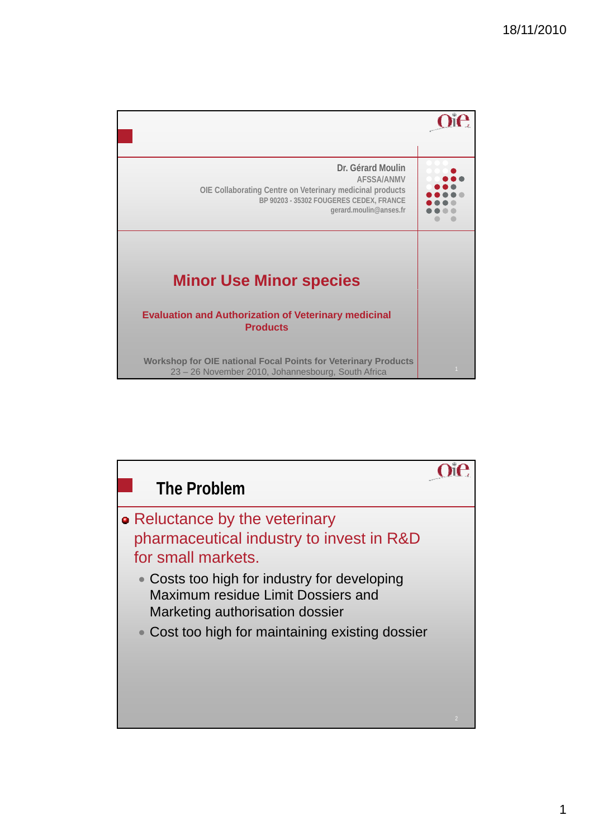

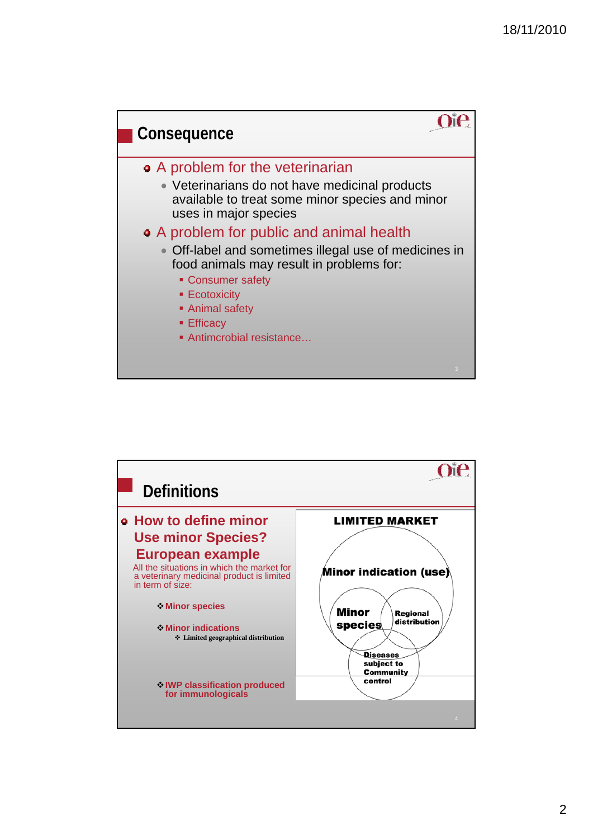

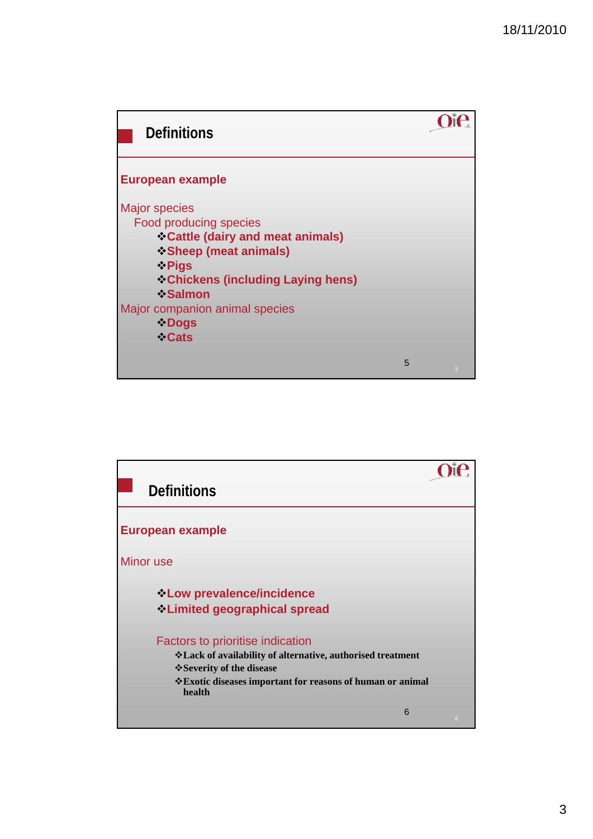

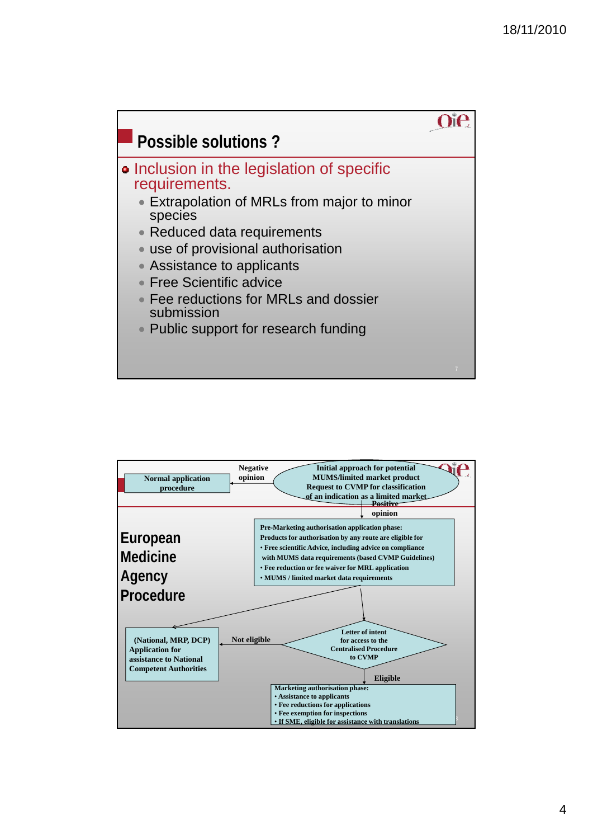